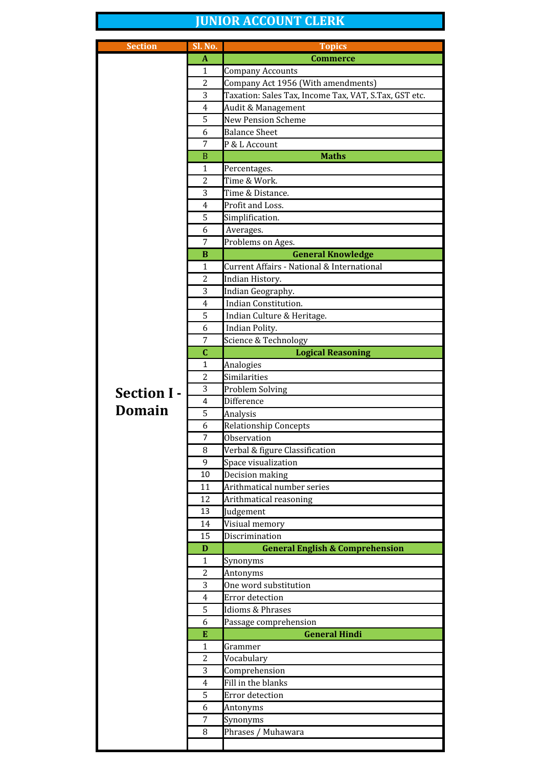## **JUNIOR ACCOUNT CLERK**

| <b>Section</b>     | Sl. No.        | <b>Topics</b>                                                          |
|--------------------|----------------|------------------------------------------------------------------------|
|                    | A              | <b>Commerce</b>                                                        |
|                    | $\mathbf{1}$   | Company Accounts                                                       |
|                    | 2              | Company Act 1956 (With amendments)                                     |
|                    | 3              | Taxation: Sales Tax, Income Tax, VAT, S.Tax, GST etc.                  |
|                    | 4              | Audit & Management                                                     |
|                    | 5              | <b>New Pension Scheme</b>                                              |
|                    | 6              | <b>Balance Sheet</b>                                                   |
|                    | 7              | P & L Account                                                          |
|                    | $\mathbf B$    | <b>Maths</b>                                                           |
|                    | $\mathbf{1}$   | Percentages.                                                           |
|                    | 2              | Time & Work.                                                           |
|                    | 3              | Time & Distance.                                                       |
|                    | 4              | Profit and Loss.                                                       |
|                    | 5              | Simplification.                                                        |
|                    | 6<br>7         | Averages.                                                              |
|                    |                | Problems on Ages.                                                      |
|                    | B<br>1         | <b>General Knowledge</b><br>Current Affairs - National & International |
|                    | 2              |                                                                        |
|                    |                | Indian History.                                                        |
|                    | 3<br>4         | Indian Geography.<br>Indian Constitution.                              |
|                    | 5              | Indian Culture & Heritage.                                             |
|                    | 6              | Indian Polity.                                                         |
|                    | 7              | Science & Technology                                                   |
|                    | $\mathbf{C}$   | <b>Logical Reasoning</b>                                               |
|                    | 1              | Analogies                                                              |
|                    | 2              | Similarities                                                           |
|                    | 3              | Problem Solving                                                        |
| <b>Section I -</b> | 4              | Difference                                                             |
| <b>Domain</b>      | 5              | Analysis                                                               |
|                    | 6              | <b>Relationship Concepts</b>                                           |
|                    | 7              | <b>Observation</b>                                                     |
|                    | 8              | Verbal & figure Classification                                         |
|                    | 9              | Space visualization                                                    |
|                    | 10             | Decision making                                                        |
|                    | 11             | Arithmatical number series                                             |
|                    | 12             | Arithmatical reasoning                                                 |
|                    | 13             | Judgement                                                              |
|                    | 14             | Visiual memory                                                         |
|                    | 15             | Discrimination                                                         |
|                    | D              | <b>General English &amp; Comprehension</b>                             |
|                    | $\mathbf{1}$   | Synonyms                                                               |
|                    | 2              | Antonyms                                                               |
|                    | 3              | One word substitution                                                  |
|                    | $\overline{4}$ | Error detection                                                        |
|                    | 5              | <b>Idioms &amp; Phrases</b>                                            |
|                    | 6              | Passage comprehension                                                  |
|                    | E              | <b>General Hindi</b>                                                   |
|                    | $\mathbf{1}$   | Grammer                                                                |
|                    | 2<br>3         | Vocabulary                                                             |
|                    |                | Comprehension<br>Fill in the blanks                                    |
|                    | 4<br>5         | Error detection                                                        |
|                    | 6              | Antonyms                                                               |
|                    | 7              | Synonyms                                                               |
|                    | 8              | Phrases / Muhawara                                                     |
|                    |                |                                                                        |